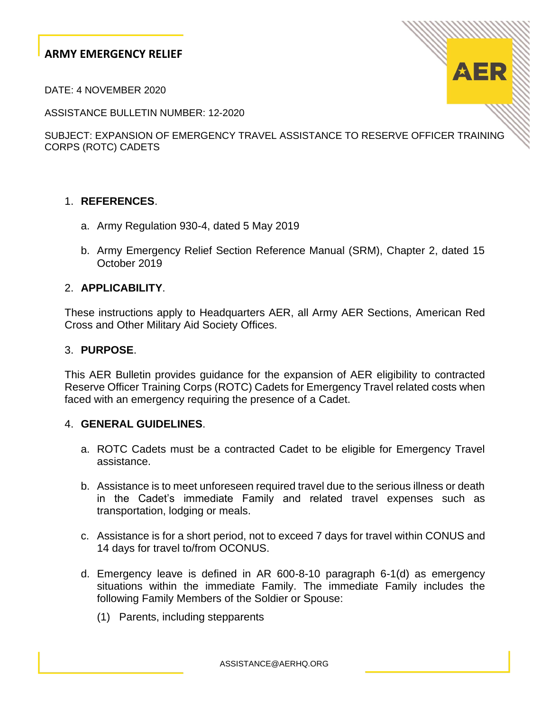DATE: 4 NOVEMBER 2020

ASSISTANCE BULLETIN NUMBER: 12-2020

SUBJECT: EXPANSION OF EMERGENCY TRAVEL ASSISTANCE TO RESERVE OFFICER TRAINING CORPS (ROTC) CADETS

## 1. **REFERENCES**.

- a. Army Regulation 930-4, dated 5 May 2019
- b. Army Emergency Relief Section Reference Manual (SRM), Chapter 2, dated 15 October 2019

#### 2. **APPLICABILITY**.

These instructions apply to Headquarters AER, all Army AER Sections, American Red Cross and Other Military Aid Society Offices.

### 3. **PURPOSE**.

This AER Bulletin provides guidance for the expansion of AER eligibility to contracted Reserve Officer Training Corps (ROTC) Cadets for Emergency Travel related costs when faced with an emergency requiring the presence of a Cadet.

#### 4. **GENERAL GUIDELINES**.

- a. ROTC Cadets must be a contracted Cadet to be eligible for Emergency Travel assistance.
- b. Assistance is to meet unforeseen required travel due to the serious illness or death in the Cadet's immediate Family and related travel expenses such as transportation, lodging or meals.
- c. Assistance is for a short period, not to exceed 7 days for travel within CONUS and 14 days for travel to/from OCONUS.
- d. Emergency leave is defined in AR 600-8-10 paragraph 6-1(d) as emergency situations within the immediate Family. The immediate Family includes the following Family Members of the Soldier or Spouse:
	- (1) Parents, including stepparents

ASSISTANCE@AERHQ.ORG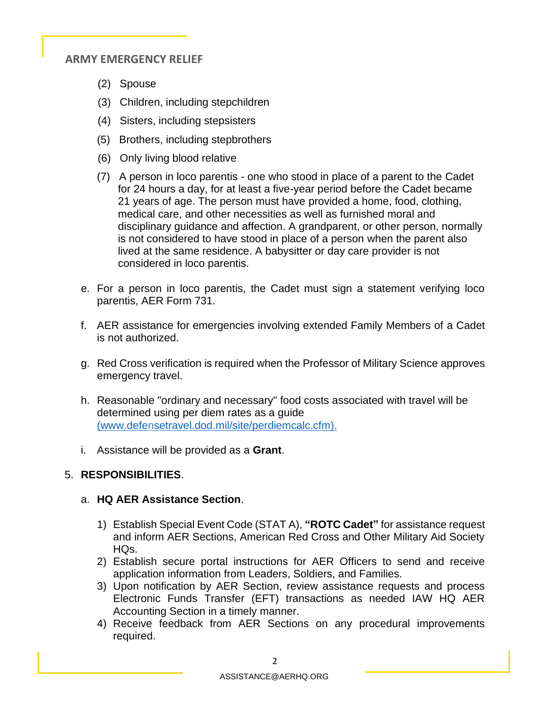- (2) Spouse
- (3) Children, including stepchildren
- (4) Sisters, including stepsisters
- (5) Brothers, including stepbrothers
- (6) Only living blood relative
- (7) A person in loco parentis one who stood in place of a parent to the Cadet for 24 hours a day, for at least a five-year period before the Cadet became 21 years of age. The person must have provided a home, food, clothing, medical care, and other necessities as well as furnished moral and disciplinary guidance and affection. A grandparent, or other person, normally is not considered to have stood in place of a person when the parent also lived at the same residence. A babysitter or day care provider is not considered in loco parentis.
- e. For a person in loco parentis, the Cadet must sign a statement verifying loco parentis, AER Form 731.
- f. AER assistance for emergencies involving extended Family Members of a Cadet is not authorized.
- g. Red Cross verification is required when the Professor of Military Science approves emergency travel.
- h. Reasonable "ordinary and necessary" food costs associated with travel will be determined using per diem rates as a guide [\(www.defensetravel.dod.mil/site/perdiemcalc.cfm\).](http://www.defensetravel.dod.mil/site/perdiemcalc.cfm))
- i. Assistance will be provided as a **Grant**.

# 5. **RESPONSIBILITIES**.

# a. **HQ AER Assistance Section**.

- 1) Establish Special Event Code (STAT A), **"ROTC Cadet"** for assistance request and inform AER Sections, American Red Cross and Other Military Aid Society HQs.
- 2) Establish secure portal instructions for AER Officers to send and receive application information from Leaders, Soldiers, and Families.
- 3) Upon notification by AER Section, review assistance requests and process Electronic Funds Transfer (EFT) transactions as needed IAW HQ AER Accounting Section in a timely manner.
- 4) Receive feedback from AER Sections on any procedural improvements required.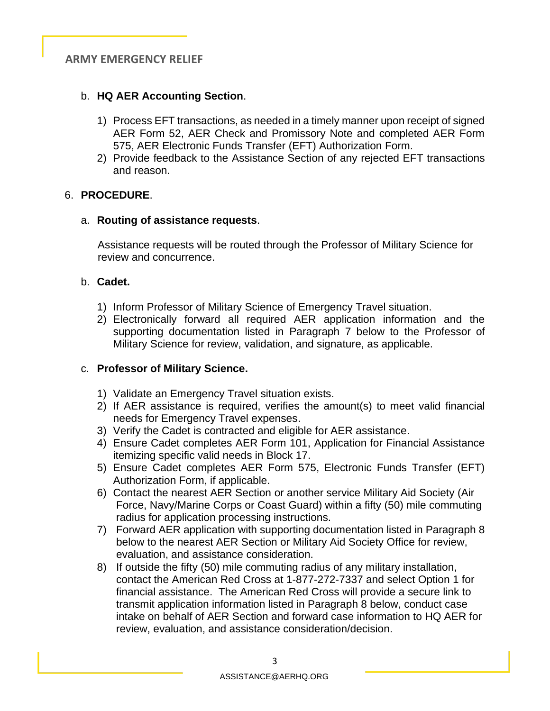# b. **HQ AER Accounting Section**.

- 1) Process EFT transactions, as needed in a timely manner upon receipt of signed AER Form 52, AER Check and Promissory Note and completed AER Form 575, AER Electronic Funds Transfer (EFT) Authorization Form.
- 2) Provide feedback to the Assistance Section of any rejected EFT transactions and reason.

## 6. **PROCEDURE**.

## a. **Routing of assistance requests**.

 Assistance requests will be routed through the Professor of Military Science for review and concurrence.

## b. **Cadet.**

- 1) Inform Professor of Military Science of Emergency Travel situation.
- 2) Electronically forward all required AER application information and the supporting documentation listed in Paragraph 7 below to the Professor of Military Science for review, validation, and signature, as applicable.

# c. **Professor of Military Science.**

- 1) Validate an Emergency Travel situation exists.
- 2) If AER assistance is required, verifies the amount(s) to meet valid financial needs for Emergency Travel expenses.
- 3) Verify the Cadet is contracted and eligible for AER assistance.
- 4) Ensure Cadet completes AER Form 101, Application for Financial Assistance itemizing specific valid needs in Block 17.
- 5) Ensure Cadet completes AER Form 575, Electronic Funds Transfer (EFT) Authorization Form, if applicable.
- 6) Contact the nearest AER Section or another service Military Aid Society (Air Force, Navy/Marine Corps or Coast Guard) within a fifty (50) mile commuting radius for application processing instructions.
- 7) Forward AER application with supporting documentation listed in Paragraph 8 below to the nearest AER Section or Military Aid Society Office for review, evaluation, and assistance consideration.
- 8) If outside the fifty (50) mile commuting radius of any military installation, contact the American Red Cross at 1-877-272-7337 and select Option 1 for financial assistance. The American Red Cross will provide a secure link to transmit application information listed in Paragraph 8 below, conduct case intake on behalf of AER Section and forward case information to HQ AER for review, evaluation, and assistance consideration/decision.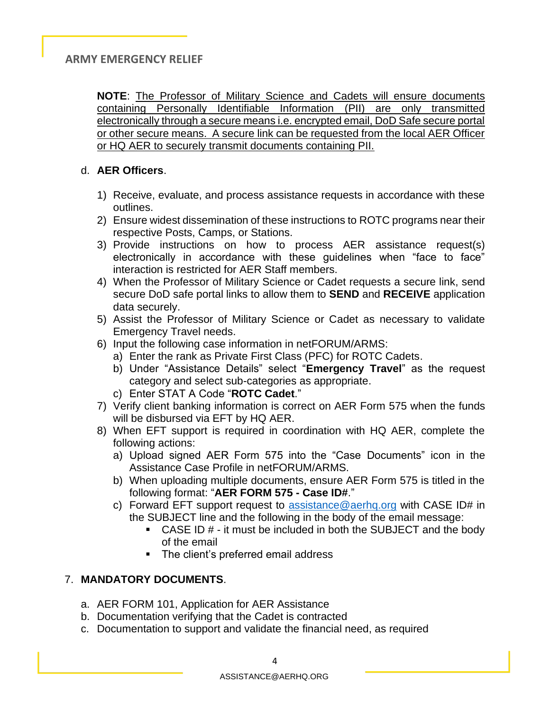**NOTE**: The Professor of Military Science and Cadets will ensure documents containing Personally Identifiable Information (PII) are only transmitted electronically through a secure means i.e. encrypted email, DoD Safe secure portal or other secure means. A secure link can be requested from the local AER Officer or HQ AER to securely transmit documents containing PII.

## d. **AER Officers**.

- 1) Receive, evaluate, and process assistance requests in accordance with these outlines.
- 2) Ensure widest dissemination of these instructions to ROTC programs near their respective Posts, Camps, or Stations.
- 3) Provide instructions on how to process AER assistance request(s) electronically in accordance with these guidelines when "face to face" interaction is restricted for AER Staff members.
- 4) When the Professor of Military Science or Cadet requests a secure link, send secure DoD safe portal links to allow them to **SEND** and **RECEIVE** application data securely.
- 5) Assist the Professor of Military Science or Cadet as necessary to validate Emergency Travel needs.
- 6) Input the following case information in netFORUM/ARMS:
	- a) Enter the rank as Private First Class (PFC) for ROTC Cadets.
	- b) Under "Assistance Details" select "**Emergency Travel**" as the request category and select sub-categories as appropriate.
	- c) Enter STAT A Code "**ROTC Cadet**."
- 7) Verify client banking information is correct on AER Form 575 when the funds will be disbursed via EFT by HQ AER.
- 8) When EFT support is required in coordination with HQ AER, complete the following actions:
	- a) Upload signed AER Form 575 into the "Case Documents" icon in the Assistance Case Profile in netFORUM/ARMS.
	- b) When uploading multiple documents, ensure AER Form 575 is titled in the following format: "**AER FORM 575 - Case ID#**."
	- c) Forward EFT support request to assistance  $@a$  erhq.org with CASE ID# in the SUBJECT line and the following in the body of the email message:
		- $\blacksquare$  CASE ID  $\#$  it must be included in both the SUBJECT and the body of the email
		- The client's preferred email address

# 7. **MANDATORY DOCUMENTS**.

- a. AER FORM 101, Application for AER Assistance
- b. Documentation verifying that the Cadet is contracted
- c. Documentation to support and validate the financial need, as required